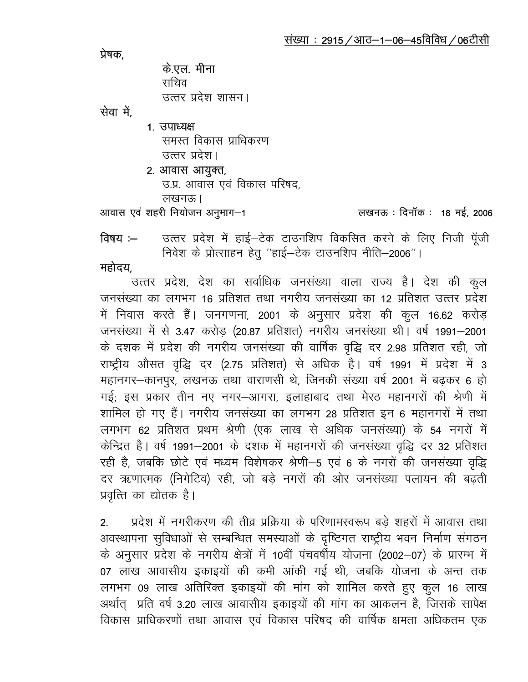प्रेषक.

के.एल. मीना सचिव उत्तर प्रदेश शासन।

सेवा में,

1. उपाध्यक्ष समस्त विकास प्राधिकरण उत्तर प्रदेश।

2. आवास आयुक्त, उ.प्र. आवास एवं विकास परिषद,

लखनऊ।

आवास एवं शहरी नियोजन अनुभाग-1

## लखनऊ : दिनॉक : 18 मई, 2006

उत्तर प्रदेश में हाई-टेक टाउनशिप विकसित करने के लिए निजी पूँजी विषय $-$ निवेश के प्रोत्साहन हेतू "हाई-टेक टाउनशिप नीति-2006"।

महोदय

उत्तर प्रदेश, देश का सर्वाधिक जनसंख्या वाला राज्य है। देश की कूल जनसंख्या का लगभग 16 प्रतिशत तथा नगरीय जनसंख्या का 12 प्रतिशत उत्तर प्रदेश में निवास करते हैं। जनगणना, 2001 के अनुसार प्रदेश की कुल 16.62 करोड़ जनसंख्या में से 3.47 करोड़ (20.87 प्रतिशत) नगरीय जनसंख्या थी। वर्ष 1991-2001 के दशक में प्रदेश की नगरीय जनसंख्या की वार्षिक वृद्धि दर 2.98 प्रतिशत रही, जो राष्ट्रीय औसत वृद्धि दर (2.75 प्रतिशत) से अधिक है। वर्ष 1991 में प्रदेश में 3 महानगर-कानपुर, लखनऊ तथा वाराणसी थे, जिनकी संख्या वर्ष 2001 में बढ़कर 6 हो गई; इस प्रकार तीन नए नगर-आगरा, इलाहाबाद तथा मेरठ महानगरों की श्रेणी में शामिल हो गए हैं। नगरीय जनसंख्या का लगभग 28 प्रतिशत इन 6 महानगरों में तथा लगभग 62 प्रतिशत प्रथम श्रेणी (एक लाख से अधिक जनसंख्या) के 54 नगरों में केन्द्रित है। वर्ष 1991–2001 के दशक में महानगरों की जनसंख्या वृद्धि दर 32 प्रतिशत रही है, जबकि छोटे एवं मध्यम विशेषकर श्रेणी-5 एवं 6 के नगरों की जनसंख्या वृद्धि दर ऋणात्मक (निगेटिव) रही, जो बड़े नगरों की ओर जनसंख्या पलायन की बढती प्रवृत्ति का द्योतक है।

प्रदेश में नगरीकरण की तीव्र प्रक्रिया के परिणामस्वरूप बड़े शहरों में आवास तथा  $2<sup>2</sup>$ अवस्थापना सुविधाओं से सम्बन्धित समस्याओं के दृष्टिगत राष्ट्रीय भवन निर्माण संगठन के अनुसार प्रदेश के नगरीय क्षेत्रों में 10वीं पंचवर्षीय योजना (2002-07) के प्रारम्भ में 07 लाख आवासीय इकाइयों की कमी आंकी गई थी, जबकि योजना के अन्त तक लगभग 09 लाख अतिरिक्त इकाइयों की मांग को शामिल करते हुए कूल 16 लाख अर्थात प्रति वर्ष 3.20 लाख आवासीय इकाइयों की मांग का आकलन है, जिसके सापेक्ष विकास प्राधिकरणों तथा आवास एवं विकास परिषद की वार्षिक क्षमता अधिकतम एक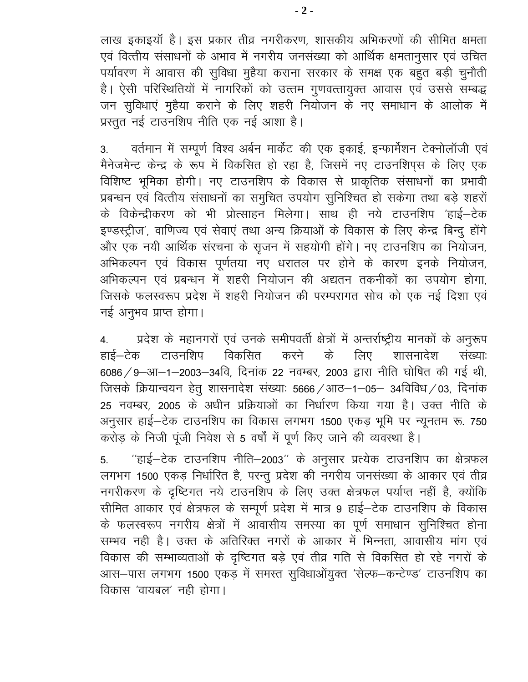लाख इकाइयाँ है। इस प्रकार तीव्र नगरीकरण, शासकीय अभिकरणों की सीमित क्षमता एवं वित्तीय संसाधनों के अभाव में नगरीय जनसंख्या को आर्थिक क्षमतानुसार एवं उचित पर्यावरण में आवास की सुविधा मुहैया कराना सरकार के समक्ष एक बहुत बड़ी चुनौती है। ऐसी परिस्थितियों में नागरिकों को उत्तम गुणवत्तायुक्त आवास एवं उससे सम्बद्ध जन सुविधाएं मुहैया कराने के लिए शहरी नियोजन के नए समाधान के आलोक में प्रस्तुत नई टाउनशिप नीति एक नई आशा है।

वर्तमान में सम्पूर्ण विश्व अर्बन मार्केट की एक इकाई, इन्फार्मेशन टेक्नोलॉजी एवं 3. मैनेजमेन्ट केन्द्र के रूप में विकसित हो रहा है, जिसमें नए टाउनशिप्स के लिए एक विशिष्ट भूमिका होगी। नए टाउनशिप के विकास से प्राकृतिक संसाधनों का प्रभावी प्रबन्धन एवं वित्तीय संसाधनों का समुचित उपयोग सुनिश्चित हो सकेगा तथा बड़े शहरों के विकेन्द्रीकरण को भी प्रोत्साहन मिलेगा। साथ ही नये टाउनशिप 'हाई–टेक इण्डस्ट्रीज', वाणिज्य एवं सेवाएं तथा अन्य क्रियाओं के विकास के लिए केन्द्र बिन्दू होंगे और एक नयी आर्थिक संरचना के सृजन में सहयोगी होंगे। नए टाउनशिप का नियोजन, अभिकल्पन एवं विकास पूर्णतया नए धरातल पर होने के कारण इनके नियोजन, अभिकल्पन एवं प्रबन्धन में शहरी नियोजन की अद्यतन तकनीकों का उपयोग होगा. जिसके फलस्वरूप प्रदेश में शहरी नियोजन की परम्परागत सोच को एक नई दिशा एवं नई अनुभव प्राप्त होगा।

प्रदेश के महानगरों एवं उनके समीपवर्ती क्षेत्रों में अन्तर्राष्ट्रीय मानकों के अनुरूप  $\overline{4}$ . हाई–टेक टाउनशिप विकसित करने के लिए शासनादेश संख्याः 6086 / 9-आ-1-2003-34वि, दिनांक 22 नवम्बर, 2003 द्वारा नीति घोषित की गई थी, जिसके क्रियान्वयन हेतु शासनादेश संख्याः 5666 / आठ–1–05– 34विविध / 03, दिनांक 25 नवम्बर, 2005 के अधीन प्रक्रियाओं का निर्धारण किया गया है। उक्त नीति के अनुसार हाई-टेक टाउनशिप का विकास लगभग 1500 एकड़ भूमि पर न्यूनतम रू. 750 करोड़ के निजी पूंजी निवेश से 5 वर्षों में पूर्ण किए जाने की व्यवस्था है।

"हाई-टेक टाउनशिप नीति-2003" के अनुसार प्रत्येक टाउनशिप का क्षेत्रफल 5. लगभग 1500 एकड़ निर्धारित है, परन्तु प्रदेश की नगरीय जनसंख्या के आकार एवं तीव्र नगरीकरण के दृष्टिगत नये टाउनशिप के लिए उक्त क्षेत्रफल पर्याप्त नहीं है, क्योंकि सीमित आकार एवं क्षेत्रफल के सम्पूर्ण प्रदेश में मात्र 9 हाई-टेक टाउनशिप के विकास के फलस्वरूप नगरीय क्षेत्रों में आवासीय समस्या का पूर्ण समाधान सुनिश्चित होना सम्भव नही है। उक्त के अतिरिक्त नगरों के आकार में भिन्नता, आवासीय मांग एवं विकास की सम्भाव्यताओं के दृष्टिगत बड़े एवं तीव्र गति से विकसित हो रहे नगरों के आस-पास लगभग 1500 एकड़ में समस्त सुविधाओंयुक्त 'सेल्फ-कन्टेण्ड' टाउनशिप का विकास 'वायबल' नही होगा।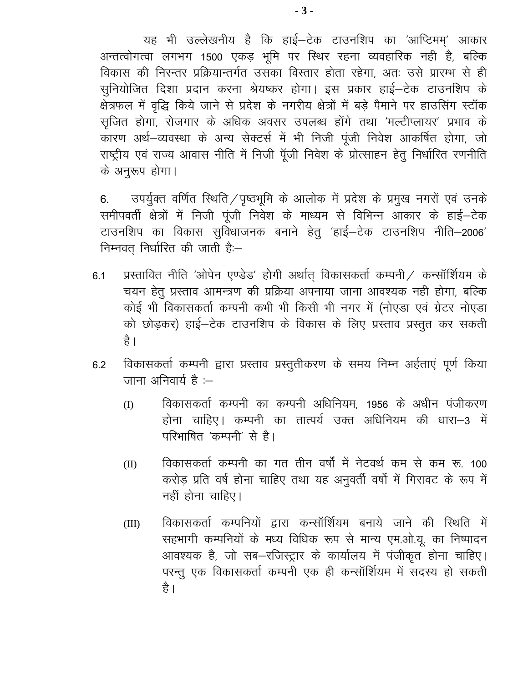यह भी उल्लेखनीय है कि हाई-टेक टाउनशिप का 'आप्टिमम' आकार अन्तत्वोगत्वा लगभग 1500 एकड़ भूमि पर स्थिर रहना व्यवहारिक नही है, बल्कि विकास की निरन्तर प्रक्रियान्तर्गत उसका विस्तार होता रहेगा, अतः उसे प्रारम्भ से ही सुनियोजित दिशा प्रदान करना श्रेयष्कर होगा। इस प्रकार हाई–टेक टाउनशिप के क्षेत्रफल में वृद्धि किये जाने से प्रदेश के नगरीय क्षेत्रों में बड़े पैमाने पर हाउसिंग स्टॉक सृजित होगा, रोजगार के अधिक अवसर उपलब्ध होंगे तथा 'मल्टीप्लायर' प्रभाव के कारण अर्थ-व्यवस्था के अन्य सेक्टर्स में भी निजी पूंजी निवेश आकर्षित होगा, जो राष्ट्रीय एवं राज्य आवास नीति में निजी पूँजी निवेश के प्रोत्साहन हेतु निर्धारित रणनीति के अनुरूप होगा।

उपर्युक्त वर्णित स्थिति / पृष्ठभूमि के आलोक में प्रदेश के प्रमुख नगरों एवं उनके 6. समीपवर्ती क्षेत्रों में निजी पूंजी निवेश के माध्यम से विभिन्न आकार के हाई-टेक टाउनशिप का विकास सुविधाजनक बनाने हेतु 'हाई–टेक टाउनशिप नीति–2006' निम्नवत निर्धारित की जाती है:-

- प्रस्तावित नीति 'ओपेन एण्डेड' होगी अर्थात् विकासकर्ता कम्पनी / कन्सॉर्शियम के  $6.1$ चयन हेतु प्रस्ताव आमन्त्रण की प्रक्रिया अपनाया जाना आवश्यक नही होगा, बल्कि कोई भी विकासकर्ता कम्पनी कभी भी किसी भी नगर में (नोएडा एवं ग्रेटर नोएडा को छोड़कर) हाई–टेक टाउनशिप के विकास के लिए प्रस्ताव प्रस्तुत कर सकती है ।
- विकासकर्ता कम्पनी द्वारा प्रस्ताव प्रस्तुतीकरण के समय निम्न अर्हताएं पूर्ण किया 6.2 जाना अनिवार्य है :–
	- विकासकर्ता कम्पनी का कम्पनी अधिनियम, 1956 के अधीन पंजीकरण (I) होना चाहिए। कम्पनी का तात्पर्य उक्त अधिनियम की धारा-3 में परिभाषित 'कम्पनी' से है।
	- विकासकर्ता कम्पनी का गत तीन वर्षों में नेटवर्थ कम से कम रू. 100  $(II)$ करोड़ प्रति वर्ष होना चाहिए तथा यह अनवर्ती वर्षो में गिरावट के रूप में नहीं होना चाहिए।
	- विकासकर्ता कम्पनियों द्वारा कन्सॉर्शियम बनाये जाने की स्थिति में  $(III)$ सहभागी कम्पनियों के मध्य विधिक रूप से मान्य एम.ओ.यू. का निष्पादन आवश्यक है, जो सब-रजिस्ट्रार के कार्यालय में पंजीकृत होना चाहिए। परन्तु एक विकासकर्ता कम्पनी एक ही कन्सॉर्शियम में सदस्य हो सकती है।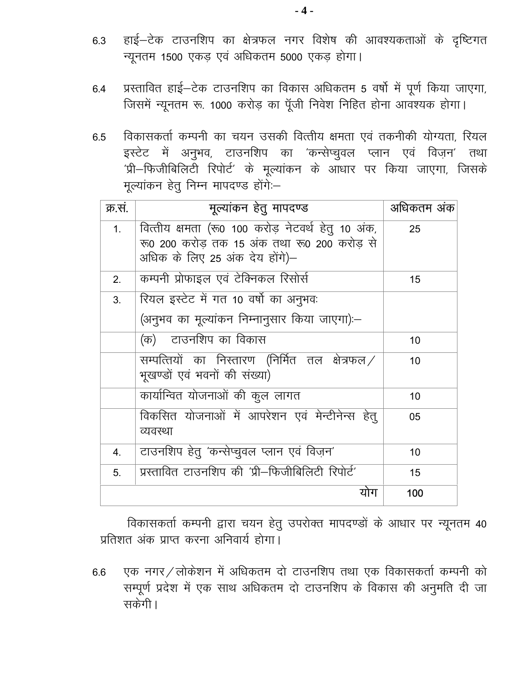- हाई-टेक टाउनशिप का क्षेत्रफल नगर विशेष की आवश्यकताओं के दृष्टिगत 6.3 न्यूनतम 1500 एकड़ एवं अधिकतम 5000 एकड़ होगा।
- प्रस्तावित हाई-टेक टाउनशिप का विकास अधिकतम 5 वर्षो में पूर्ण किया जाएगा, 6.4 जिसमें न्यूनतम रू. 1000 करोड़ का पूँजी निवेश निहित होना आवश्यक होगा।
- विकासकर्ता कम्पनी का चयन उसकी वित्तीय क्षमता एवं तकनीकी योग्यता, रियल 6.5 इस्टेट में अनुभव, टाउनशिप का 'कन्सेप्चुवल प्लान एवं विज़न' तथा 'प्री-फिजीबिलिटी रिपोर्ट' के मूल्यांकन के आंधार पर किया जाएगा, जिसके मूल्यांकन हेतु निम्न मापदण्ड होंगे:--

| क्र.सं.        | मूल्यांकन हेतु मापदण्ड                                                                                                             | अधिकतम अंक |
|----------------|------------------------------------------------------------------------------------------------------------------------------------|------------|
| 1 <sub>1</sub> | वित्तीय क्षमता (रू0 100 करोड़ नेटवर्थ हेतू 10 अंक,<br>रू0 200 करोड तक 15 अंक तथा रू0 200 करोड से<br>अधिक के लिए 25 अंक देय होंगे)- | 25         |
| 2.             | कम्पनी प्रोफाइल एवं टेक्निकल रिसोर्स                                                                                               | 15         |
| 3.             | रियल इस्टेट में गत 10 वर्षो का अनुभवः<br>(अनुभव का मूल्यांकन निम्नानुसार किया जाएगा):-                                             |            |
|                | (क) टाउनशिप का विकास                                                                                                               | 10         |
|                | सम्पत्तियों का निस्तारण (निर्मित तल क्षेत्रफल $\angle$<br>भूखण्डों एवं भवनों की संख्या)                                            | 10         |
|                | कार्यान्वित योजनाओं की कुल लागत                                                                                                    | 10         |
|                | विकसित योजनाओं में आपरेशन एवं मेन्टीनेन्स हेतू<br>व्यवस्था                                                                         | 05         |
| 4.             | टाउनशिप हेतु 'कन्सेप्चुवल प्लान एवं विज़न'                                                                                         | 10         |
| 5.             | प्रस्तावित टाउनशिप की 'प्री–फिजीबिलिटी रिपोर्ट'                                                                                    | 15         |
|                | योग                                                                                                                                | 100        |

विकासकर्ता कम्पनी द्वारा चयन हेतु उपरोक्त मापदण्डों के आधार पर न्यूनतम 40 प्रतिशत अंक प्राप्त करना अनिवार्य होगा।

एक नगर/लोकेशन में अधिकतम दो टाउनशिप तथा एक विकासकर्ता कम्पनी को 6.6 सम्पूर्ण प्रदेश में एक साथ अधिकतम दो टाउनशिप के विकास की अनुमति दी जा सकेगी।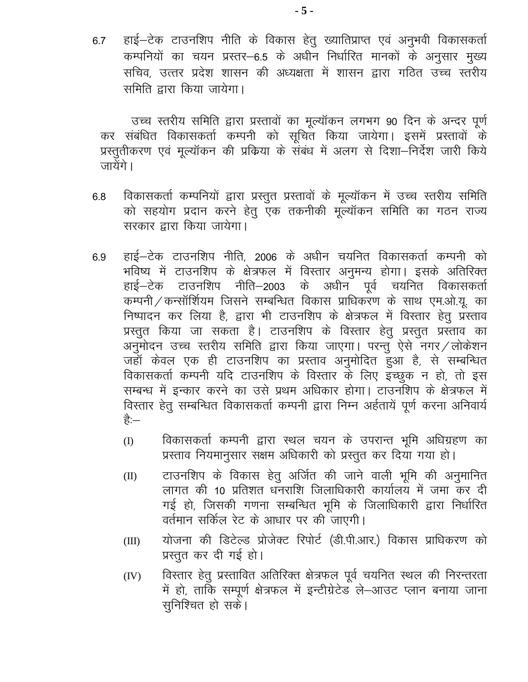हाई–टेक टाउनशिप नीति के विकास हेतु ख्यातिप्राप्त एवं अनुभवी विकासकर्ता 6.7 कम्पनियों का चयन प्रस्तर-6.5 के अधीन निर्धारित मानकों के अनुसार मुख्य सचिव, उत्तर प्रदेश शासन की अध्यक्षता में शासन द्वारा गठित उच्च स्तरीय समिति द्वारा किया जायेगा।

उच्च स्तरीय समिति द्वारा प्रस्तावों का मूल्यॉकन लगभग 90 दिन के अन्दर पूर्ण कर संबंधित विकासकर्ता कम्पनी को सूचित किया जायेगा। इसमें प्रस्तावों के प्रस्तुतीकरण एवं मूल्यॉकन की प्रक्रिया के संबंध में अलग से दिशा—निर्देश जारी किये जायेंगे।

- विकासकर्ता कम्पनियों द्वारा प्रस्तुत प्रस्तावों के मूल्यॉकन में उच्च स्तरीय समिति  $6.8$ को सहयोग प्रदान करने हेतु एक तकनीकी मूल्यॉकन समिति का गठन राज्य सरकार द्वारा किया जायेगा।
- हाई–टेक टाउनशिप नीति, 2006 के अधीन चयनित विकासकर्ता कम्पनी को 6.9 भविष्य में टाउनशिप के क्षेत्रफल में विस्तार अनुमन्य होगा। इसके अतिरिक्त हाई—टेक टाउनशिप नीति—2003 के अधीन पूर्व चयनित विकासकर्ता कम्पनी / कन्सॉर्शियम जिसने सम्बन्धित विकास प्राधिकरण के साथ एम.ओ.यू. का निष्पादन कर लिया है, द्वारा भी टाउनशिप के क्षेत्रफल में विस्तार हेतु प्रस्ताव प्रस्तुत किया जा सकता है। टाउनशिप के विस्तार हेतु प्रस्तुत प्रस्ताव का अनुमोदन उच्च स्तरीय समिति द्वारा किया जाएगा। परन्तु ऐसे नगर/लोकेशन जहाँ केवल एक ही टाउनशिप का प्रस्ताव अनुमोदित हुआ है, से सम्बन्धित विकासकर्ता कम्पनी यदि टाउनशिप के विस्तार के लिए इच्छुक न हो, तो इस सम्बन्ध में इन्कार करने का उसे प्रथम अधिकार होगा। टाउनशिप के क्षेत्रफल में विस्तार हेतु सम्बन्धित विकासकर्ता कम्पनी द्वारा निम्न अर्हतायें पूर्ण करना अनिवार्य है:—
	- विकासकर्ता कम्पनी द्वारा स्थल चयन के उपरान्त भूमि अधिग्रहण का (I) प्रस्ताव नियमानुसार सक्षम अधिकारी को प्रस्तुत कर दिया गया हो।
	- टाउनशिप के विकास हेतु अर्जित की जाने वाली भूमि की अनुमानित  $(II)$ लागत की 10 प्रतिशत धनराशि जिलाधिकारी कार्यालय में जमा कर दी गई हो, जिसकी गणना सम्बन्धित भूमि के जिलाधिकारी द्वारा निर्धारित वर्तमान सर्किल रेट के आधार पर की जाएगी।
	- योजना की डिटेल्ड प्रोजेक्ट रिपोर्ट (डी.पी.आर.) विकास प्राधिकरण को  $(III)$ प्रस्तुत कर दी गई हो।
	- विस्तार हेतु प्रस्तावित अतिरिक्त क्षेत्रफल पूर्व चयनित स्थल की निरन्तरता  $(IV)$ में हो, ताकि सम्पूर्ण क्षेत्रफल में इन्टीग्रेटेड ले-आउट प्लान बनाया जाना सुनिश्चित हो सकें।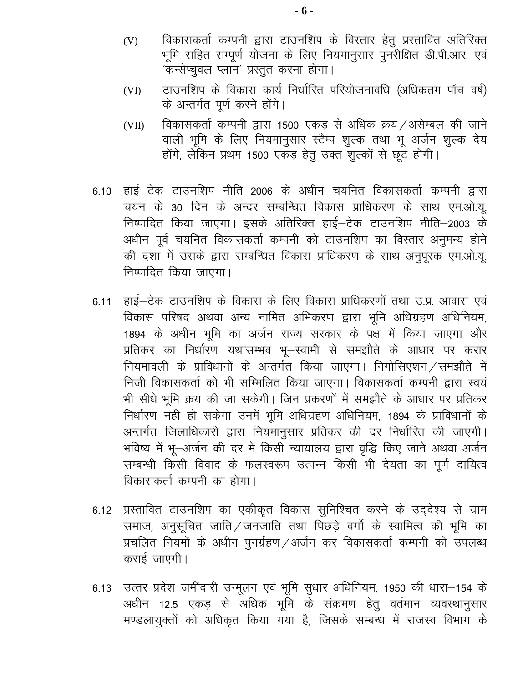- विकासकर्ता कम्पनी द्वारा टाउनशिप के विस्तार हेतू प्रस्तावित अतिरिक्त  $(V)$ भूमि सहित सम्पूर्ण योजना के लिए नियमानुसार पुनरीक्षित डी.पी.आर. एवं 'कन्सेप्चुवल प्लान' प्रस्तुत करना होगा।
- टाउनशिप के विकास कार्य निर्धारित परियोजनावधि (अधिकतम पॉच वर्ष)  $(VI)$ के अन्तर्गत पूर्ण करने होंगे।
- विकासकर्ता कम्पनी द्वारा 1500 एकड से अधिक क्रय/असेम्बल की जाने  $(VII)$ वाली भूमि के लिए नियमानुसार स्टैम्प शुल्क तथा भू-अर्जन शुल्क देय होंगे, लेकिन प्रथम 1500 एकड़ हेतु उक्त शुल्कों से छूट होगी।
- 6.10 हाई–टेक टाउनशिप नीति–2006 के अधीन चयनित विकासकर्ता कम्पनी द्वारा चयन के 30 दिन के अन्दर सम्बन्धित विकास प्राधिकरण के साथ एम.ओ.यू. निष्पादित किया जाएगा। इसके अतिरिक्त हाई–टेक टाउनशिप नीति–2003 के अधीन पूर्व चयनित विकासकर्ता कम्पनी को टाउनशिप का विस्तार अनुमन्य होने की दशा में उसके द्वारा सम्बन्धित विकास प्राधिकरण के साथ अनुपूरक एम.ओ.यू. निष्पादित किया जाएगा।
- 6.11 हाई-टेक टाउनशिप के विकास के लिए विकास प्राधिकरणों तथा उ.प्र. आवास एवं विकास परिषद अथवा अन्य नामित अभिकरण द्वारा भूमि अधिग्रहण अधिनियम, 1894 के अधीन भूमि का अर्जन राज्य सरकार के पक्ष में किया जाएगा और प्रतिकर का निर्धारण यथासम्भव भू-स्वामी से समझौते के आधार पर करार नियमावली के प्राविधानों के अन्तर्गत किया जाएगा। निगोसिएशन / समझौते में निजी विकासकर्ता को भी सम्मिलित किया जाएगा। विकासकर्ता कम्पनी द्वारा स्वयं भी सीधे भूमि क्रय की जा सकेगी। जिन प्रकरणों में समझौते के आधार पर प्रतिकर निर्धारण नही हो सकेगा उनमें भूमि अधिग्रहण अधिनियम, 1894 के प्राविधानों के अन्तर्गत जिलाधिकारी द्वारा नियमानुसार प्रतिकर की दर निर्धारित की जाएगी। भविष्य में भू-अर्जन की दर में किसी न्यायालय द्वारा वृद्धि किए जाने अथवा अर्जन सम्बन्धी किसी विवाद के फलस्वरूप उत्पन्न किसी भी देयता का पर्ण दायित्व विकासकर्ता कम्पनी का होगा।
- 6.12 प्रस्तावित टाउनशिप का एकीकृत विकास सुनिश्चित करने के उद्देश्य से ग्राम समाज, अनुसूचित जाति/जनजाति तथा पिछड़े वर्गो के स्वामित्व की भूमि का प्रचलित नियमों के अधीन पुनर्ग्रहण / अर्जन कर विकासकर्ता कम्पनी को उपलब्ध कराई जाएगी।
- 6.13 उत्तर प्रदेश जमींदारी उन्मूलन एवं भूमि सुधार अधिनियम, 1950 की धारा-154 के अधीन 12.5 एकड़ से अधिक भूमि के संक्रमण हेतु वर्तमान व्यवस्थानुसार मण्डलायुक्तों को अधिकृत किया गया है, जिसके सम्बन्ध में राजस्व विभाग के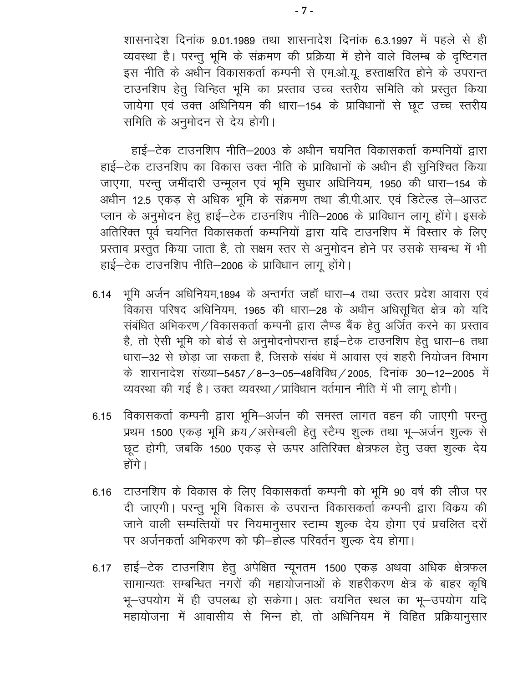शासनादेश दिनांक 9.01.1989 तथा शासनादेश दिनांक 6.3.1997 में पहले से ही व्यवस्था है। परन्तु भूमि के संक्रमण की प्रक्रिया में होने वाले विलम्ब के दृष्टिगत इस नीति के अधीन विकासकर्ता कम्पनी से एम.ओ.यू. हस्ताक्षरित होने के उपरान्त टाउनशिप हेतु चिन्हित भूमि का प्रस्ताव उच्च स्तरीय समिति को प्रस्तुत किया जायेगा एवं उक्त अधिनियम की धारा-154 के प्राविधानों से छूट उच्च स्तरीय समिति के अनुमोदन से देय होगी।

हाई-टेक टाउनशिप नीति-2003 के अधीन चयनित विकासकर्ता कम्पनियों द्वारा हाई-टेक टाउनशिप का विकास उक्त नीति के प्राविधानों के अधीन ही सुनिश्चित किया जाएगा, परन्तु जमींदारी उन्मूलन एवं भूमि सुधार अधिनियम, 1950 की धारा-154 के अधीन 12.5 एकड़ से अधिक भूमि के संक्रमण तथा डी.पी.आर. एवं डिटेल्ड ले-आउट प्लान के अनुमोदन हेतु हाई–टेक टाउनशिप नीति–2006 के प्राविधान लागू होंगे। इसके अतिरिक्त पूर्व चयनित विकासकर्ता कम्पनियों द्वारा यदि टाउनशिप में विस्तार के लिए प्रस्ताव प्रस्तुत किया जाता है, तो सक्षम स्तर से अनुमोदन होने पर उसके सम्बन्ध में भी हाई-टेक टाउनशिप नीति-2006 के प्राविधान लागू होंगे।

- 6.14 भूमि अर्जन अधिनियम,1894 के अन्तर्गत जहाँ धारा-4 तथा उत्तर प्रदेश आवास एवं विकास परिषद अधिनियम, 1965 की धारा-28 के अधीन अधिसूचित क्षेत्र को यदि संबंधित अभिकरण / विकासकर्ता कम्पनी द्वारा लैण्ड बैंक हेतु अर्जित करने का प्रस्ताव है, तो ऐसी भूमि को बोर्ड से अनुमोदनोपरान्त हाई–टेक टाउनशिप हेतु धारा–6 तथा धारा-32 से छोड़ा जा सकता है, जिसके संबंध में आवास एवं शहरी नियोजन विभाग के शासनादेश संख्या–5457 / 8–3–05–48विविध / 2005, दिनांक 30–12–2005 में व्यवस्था की गई है। उक्त व्यवस्था / प्राविधान वर्तमान नीति में भी लागू होगी।
- 6.15 विकासकर्ता कम्पनी द्वारा भूमि–अर्जन की समस्त लागत वहन की जाएगी परन्तु प्रथम 1500 एकड़ भूमि क्रय/असेम्बली हेतु स्टैम्प शुल्क तथा भू-अर्जन शुल्क से छूट होगी, जबकि 1500 एकड़ से ऊपर अतिरिक्त क्षेत्रफल हेतु उक्त शुल्क देय होंगे।
- 6.16 टाउनशिप के विकास के लिए विकासकर्ता कम्पनी को भूमि 90 वर्ष की लीज पर दी जाएगी। परन्तु भूमि विकास के उपरान्त विकासकर्ता कम्पनी द्वारा विकय की जाने वाली सम्पत्तियों पर नियमानुसार स्टाम्प शुल्क देय होगा एवं प्रचलित दरों पर अर्जनकर्ता अभिकरण को फ्री-होल्ड परिवर्तन शुल्क देय होगा।
- 6.17 हाई–टेक टाउनशिप हेतु अपेक्षित न्यूनतम 1500 एकड़ अथवा अधिक क्षेत्रफल सामान्यतः सम्बन्धित नगरों की महायोजनाओं के शहरीकरण क्षेत्र के बाहर कृषि भू-उपयोग में ही उपलब्ध हो सकेगा। अतः चयनित स्थल का भू-उपयोग यदि महायोजना में आवासीय से भिन्न हो, तो अधिनियम में विहित प्रक्रियानुसार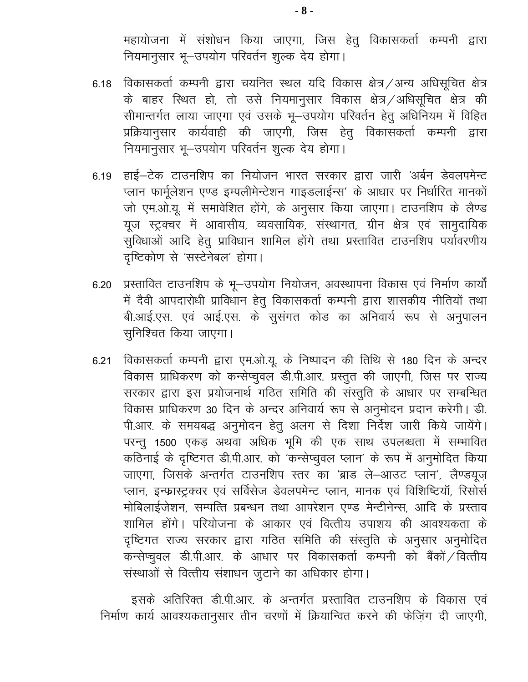महायोजना में संशोधन किया जाएगा, जिस हेतु विकासकर्ता कम्पनी द्वारा नियमानुसार भू-उपयोग परिवर्तन शूल्क देय होगा।

- 6.18 विकासकर्ता कम्पनी द्वारा चयनित स्थल यदि विकास क्षेत्र / अन्य अधिसूचित क्षेत्र के बाहर स्थित हो, तो उसे नियमानुसार विकास क्षेत्र /अधिसूचित क्षेत्र की सीमान्तर्गत लाया जाएगा एवं उसके भू-उपयोग परिवर्तन हेतु अधिनियम में विहित प्रक्रियानुसार कार्यवाही की जाएगी, जिस हेतु विकासकर्ता कम्पनी द्वारा नियमानुसार भू-उपयोग परिवर्तन शुल्क देय होगा।
- 6.19 हाई–टेक टाउनशिप का नियोजन भारत सरकार द्वारा जारी 'अर्बन डेवलपमेन्ट प्लान फार्मूलेशन एण्ड इम्पलीमेन्टेशन गाइडलाईन्स' के आधार पर निर्धारित मानकों जो एम.ओ.यू. में समावेशित होंगे, के अनुसार किया जाएगा। टाउनशिप के लैण्ड यूज स्ट्रक्चर में आवासीय, व्यवसायिक, संस्थागत, ग्रीन क्षेत्र एवं सामुदायिक सुविधाओं आदि हेतु प्राविधान शामिल होंगे तथा प्रस्तावित टाउनशिप पर्यावरणीय दृष्टिकोण से 'सस्टेनेबल' होगा।
- प्रस्तावित टाउनशिप के भू-उपयोग नियोजन, अवस्थापना विकास एवं निर्माण कार्यों 6.20 में दैवी आपदारोधी प्राविधान हेतु विकासकर्ता कम्पनी द्वारा शासकीय नीतियों तथा बी.आई.एस. एवं आई.एस. के सुसंगत कोड का अनिवार्य रूप से अनुपालन सुनिश्चित किया जाएगा।
- विकासकर्ता कम्पनी द्वारा एम.ओ.यू. के निष्पादन की तिथि से 180 दिन के अन्दर  $6.21$ विकास प्राधिकरण को कन्सेप्चुवल डी.पी.आर. प्रस्तुत की जाएगी, जिस पर राज्य सरकार द्वारा इस प्रयोजनार्थ गठित समिति की संस्तुति के आधार पर सम्बन्धित विकास प्राधिकरण 30 दिन के अन्दर अनिवार्य रूप से अनुमोदन प्रदान करेगी। डी. पी.आर. के समयबद्ध अनुमोदन हेतु अलग से दिशा निर्देश जारी किये जायेंगे। परन्तु 1500 एकड़ अथवा अधिक भूमि की एक साथ उपलब्धता में सम्भावित कठिनाई के दृष्टिगत डी.पी.आर. को 'कन्सेप्चुवल प्लान' के रूप में अनुमोदित किया जाएगा, जिसके अन्तर्गत टाउनशिप स्तर का 'ब्राड ले-आउट प्लान', लैण्डयूज़ प्लान, इन्फ्रास्ट्रक्चर एवं सर्विसेज डेवलपमेन्ट प्लान, मानक एवं विशिष्टियॉ, रिसोर्स मोबिलाईजेशन, सम्पत्ति प्रबन्धन तथा आपरेशन एण्ड मेन्टीनेन्स, आदि के प्रस्ताव शामिल होंगे। परियोजना के आकार एवं वित्तीय उपाशय की आवश्यकता के दृष्टिगत राज्य सरकार द्वारा गठित समिति की संस्तुति के अनुसार अनुमोदित कन्सेप्चुवल डी.पी.आर. के आधार पर विकासकर्ता कम्पनी को बैंकों /वित्तीय संस्थाओं से वित्तीय संशाधन जुटाने का अधिकार होगा।

इसके अतिरिक्त डी.पी.आर. के अन्तर्गत प्रस्तावित टाउनशिप के विकास एवं निर्माण कार्य आवश्यकतानुसार तीन चरणों में क्रियान्वित करने की फेज़िंग दी जाएगी,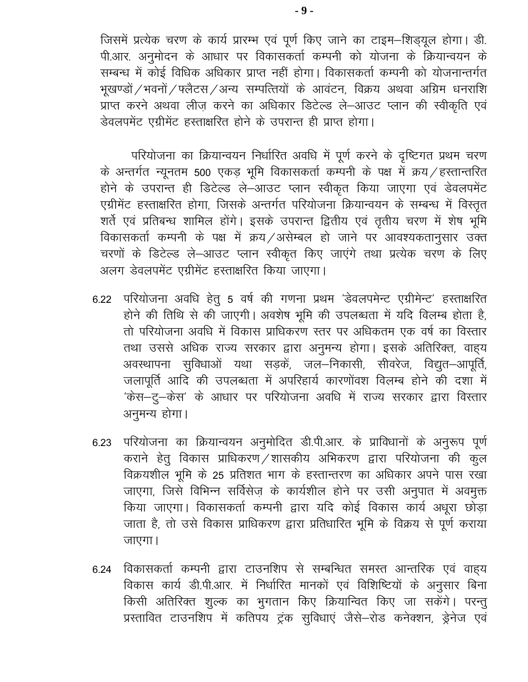जिसमें प्रत्येक चरण के कार्य प्रारम्भ एवं पूर्ण किए जाने का टाइम-शिड्यूल होगा। डी. पी.आर. अनुमोदन के आधार पर विकासकर्ता कम्पनी को योजना के क्रियान्वयन के सम्बन्ध में कोई विधिक अधिकार प्राप्त नहीं होगा। विकासकर्ता कम्पनी को योजनान्तर्गत भूखण्डों / भवनों / फ्लैटस / अन्य सम्पत्तियों के आवंटन, विक्रय अथवा अग्रिम धनराशि प्राप्त करने अथवा लीज़ करने का अधिकार डिटेल्ड ले-आउट प्लान की स्वीकृति एवं डेवलपमेंट एग्रीमेंट हस्ताक्षरित होने के उपरान्त ही प्राप्त होगा।

परियोजना का क्रियान्वयन निर्धारित अवधि में पूर्ण करने के दृष्टिगत प्रथम चरण के अन्तर्गत न्यूनतम 500 एकड़ भूमि विकासकर्ता कम्पनी के पक्ष में क्रय/हस्तान्तरित होने के उपरान्त ही डिटेल्ड ले—आउट प्लान स्वीकृत किया जाएगा एवं डेवलपमेंट एग्रीमेंट हस्ताक्षरित होगा, जिसके अन्तर्गत परियोजना क्रियान्वयन के सम्बन्ध में विस्तृत शर्ते एवं प्रतिबन्ध शामिल होंगे। इसके उपरान्त द्वितीय एवं तृतीय चरण में शेष भूमि विकासकर्ता कम्पनी के पक्ष में क्रय/असेम्बल हो जाने पर आवश्यकतानुसार उक्त चरणों के डिटेल्ड ले-आउट प्लान स्वीकृत किए जाएंगे तथा प्रत्येक चरण के लिए अलग डेवलपमेंट एग्रीमेंट हस्ताक्षरित किया जाएगा।

- 6.22 परियोजना अवधि हेतु 5 वर्ष की गणना प्रथम 'डेवलपमेन्ट एग्रीमेन्ट' हस्ताक्षरित होने की तिथि से की जाएगी। अवशेष भूमि की उपलब्धता में यदि विलम्ब होता है, तो परियोजना अवधि में विकास प्राधिकरण स्तर पर अधिकतम एक वर्ष का विस्तार तथा उससे अधिक राज्य सरकार द्वारा अनुमन्य होगा। इसके अतिरिक्त, वाह्य अवस्थापना सुविधाओं यथा सड़कें, जल-निकासी, सीवरेज, विद्युत-आपूर्ति, जलापूर्ति आदि की उपलब्धता में अपरिहार्य कारणोंवश विलम्ब होने की दशा में 'केस-दु-केस' के आधार पर परियोजना अवधि में राज्य सरकार द्वारा विस्तार अनुमन्य होगा।
- 6.23 परियोजना का क्रियान्वयन अनुमोदित डी.पी.आर. के प्राविधानों के अनुरूप पूर्ण कराने हेतु विकास प्राधिकरण /शासकीय अभिकरण द्वारा परियोजना की कुल विक्रयशील भूमि के 25 प्रतिशत भाग के हस्तान्तरण का अधिकार अपने पास रखा जाएगा, जिसे विभिन्न सर्विसेज़ के कार्यशील होने पर उसी अनुपात में अवमुक्त किया जाएगा। विकासकर्ता कम्पनी द्वारा यदि कोई विकास कार्य अधूरा छोड़ा जाता है, तो उसे विकास प्राधिकरण द्वारा प्रतिधारित भूमि के विक्रय से पूर्ण कराया जाएगा।
- 6.24 विकासकर्ता कम्पनी द्वारा टाउनशिप से सम्बन्धित समस्त आन्तरिक एवं वाह्य विकास कार्य डी.पी.आर. में निर्धारित मानकों एवं विशिष्टियों के अनुसार बिना किसी अतिरिक्त शुल्क का भुगतान किए क्रियान्वित किए जा सकेंगे। परन्तु प्रस्तावित टाउनशिप में कतिपय ट्रंक सुविधाएं जैसे-रोड कनेक्शन, ड्रेनेज एवं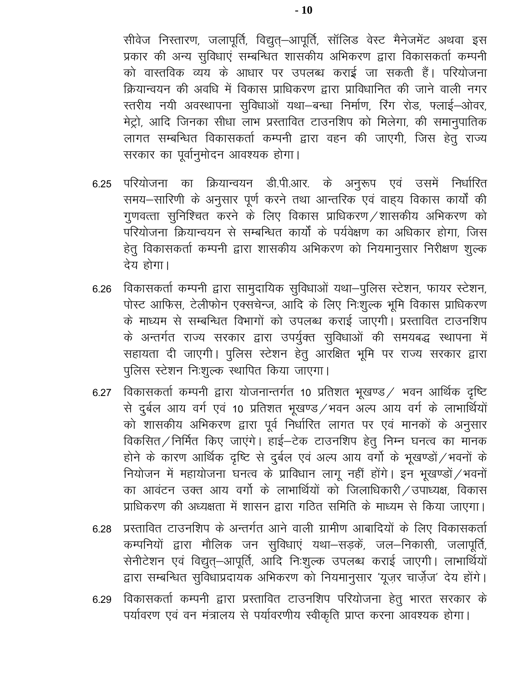सीवेज निस्तारण, जलापूर्ति, विद्युत्–आपूर्ति, सॉलिड वेस्ट मैनेजमेंट अथवा इस प्रकार की अन्य सुविधाएं सम्बन्धित शासकीय अभिकरण द्वारा विकासकर्ता कम्पनी को वास्तविक व्यय के आधार पर उपलब्ध कराई जा सकती हैं। परियोजना क्रियान्वयन की अवधि में विकास प्राधिकरण द्वारा प्राविधानित की जाने वाली नगर स्तरीय नयी अवस्थापना सुविधाओं यथा-बन्धा निर्माण, रिंग रोड, फ्लाई-ओवर, मेट्रो, आदि जिनका सीधा लाभ प्रस्तावित टाउनशिप को मिलेगा, की समानुपातिक लागत सम्बन्धित विकासकर्ता कम्पनी द्वारा वहन की जाएगी, जिस हेतु राज्य सरकार का पूर्वानुमोदन आवश्यक होगा।

- परियोजना का क्रियान्वयन डी.पी.आर. के अनुरूप एवं उसमें निर्धारित 6.25 समय-सारिणी के अनुसार पूर्ण करने तथा आन्तरिक एवं वाह्य विकास कार्यों की गुणवत्ता सुनिश्चित करने के लिए विकास प्राधिकरण /शासकीय अभिकरण को परियोजना क्रियान्वयन से सम्बन्धित कार्यों के पर्यवेक्षण का अधिकार होगा. जिस हेतु विकासकर्ता कम्पनी द्वारा शासकीय अभिकरण को नियमानुसार निरीक्षण शुल्क देय होगा।
- विकासकर्ता कम्पनी द्वारा सामुदायिक सुविधाओं यथा–पुलिस स्टेशन, फायर स्टेशन, 6.26 पोस्ट आफिस, टेलीफोन एक्सचेन्ज, आदि के लिए निःशुल्क भूमि विकास प्राधिकरण के माध्यम से सम्बन्धित विभागों को उपलब्ध कराई जाएगी। प्रस्तावित टाउनशिप के अन्तर्गत राज्य सरकार द्वारा उपर्युक्त सुविधाओं की समयबद्ध स्थापना में सहायता दी जाएगी। पुलिस स्टेशन हेतु आरक्षित भूमि पर राज्य सरकार द्वारा पुलिस स्टेशन निःशुल्क स्थापित किया जाएगा।
- विकासकर्ता कम्पनी द्वारा योजनान्तर्गत 10 प्रतिशत भूखण्ड / भवन आर्थिक दृष्टि 6.27 से दुर्बल आय वर्ग एवं 10 प्रतिशत भूखण्ड ⁄ भवन अल्प आय वर्ग के लाभार्थियों को शासकीय अभिकरण द्वारा पूर्व निर्धारित लागत पर एवं मानकों के अनुसार विकसित/निर्मित किए जाएंगे। हाई–टेक टाउनशिप हेतु निम्न घनत्व का मानक होने के कारण आर्थिक दृष्टि से दुर्बल एवं अल्प आय वर्गो के भूखण्डों / भवनों के नियोजन में महायोजना घनत्व के प्राविधान लागू नहीं होंगे। इन भूखण्डों /भवनों का आवंटन उक्त आय वर्गो के लाभार्थियों को जिलाधिकारी / उपाध्यक्ष, विकास प्राधिकरण की अध्यक्षता में शासन द्वारा गठित समिति के माध्यम से किया जाएगा।
- प्रस्तावित टाउनशिप के अन्तर्गत आने वाली ग्रामीण आबादियों के लिए विकासकर्ता 6.28 कम्पनियों द्वारा मौलिक जन सुविधाएं यथा–सड़कें, जल–निकासी, जलापूर्ति, सेनीटेशन एवं विद्युत्–आपूर्ति, आदि निःशुल्क उपलब्ध कराई जाएगी। लाभार्थियों द्वारा सम्बन्धित सुविधाप्रदायक अभिकरण को नियमानुसार 'यूज़र चार्ज़ेज' देय होंगे।
- विकासकर्ता कम्पनी द्वारा प्रस्तावित टाउनशिप परियोजना हेतु भारत सरकार के 6.29 पर्यावरण एवं वन मंत्रालय से पर्यावरणीय स्वीकृति प्राप्त करना आवश्यक होगा।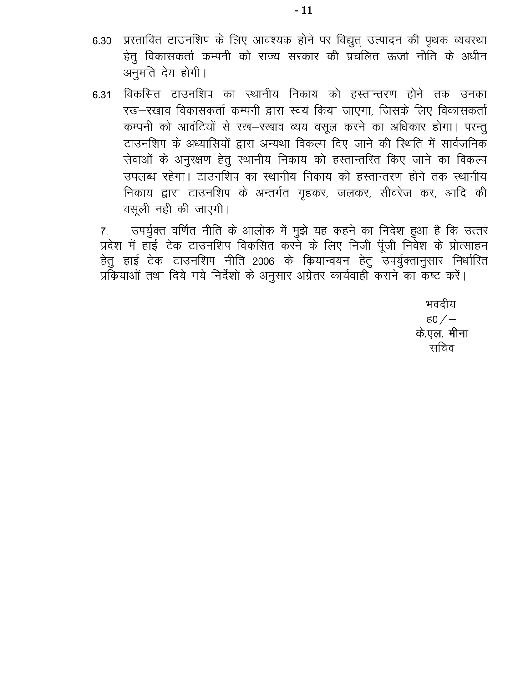- प्रस्तावित टाउनशिप के लिए आवश्यक होने पर विद्युत् उत्पादन की पृथक व्यवस्था 6.30 हेतु विकासकर्ता कम्पनी को राज्य सरकार की प्रचलित ऊर्जा नीति के अधीन अनुमति देय होगी।
- 6.31 विकसित टाउनशिप का स्थानीय निकाय को हस्तान्तरण होने तक उनका रख-रखाव विकासकर्ता कम्पनी द्वारा स्वयं किया जाएगा, जिसके लिए विकासकर्ता कम्पनी को आवंटियों से रख-रखाव व्यय वसूल करने का अधिकार होगा। परन्तू टाउनशिप के अध्यासियों द्वारा अन्यथा विकल्प दिए जाने की स्थिति में सार्वजनिक सेवाओं के अनुरक्षण हेतु स्थानीय निकाय को हस्तान्तरित किए जाने का विकल्प उपलब्ध रहेगा। टाउनशिप का स्थानीय निकाय को हस्तान्तरण होने तक स्थानीय निकाय द्वारा टाउनशिप के अन्तर्गत गृहकर, जलकर, सीवरेज कर, आदि की वसली नही की जाएगी।

उपर्युक्त वर्णित नीति के आलोक में मुझे यह कहने का निदेश हुआ है कि उत्तर  $7.$ प्रदेश में हॉई–टेक टाउनशिप विकसित करने के लिए निजी पूँजी निवेश के प्रोत्साहन हेतु हाई–टेक टाउनशिप नीति–2006 के कियान्वयन हेतु उपर्युक्तानुसार निर्धारित प्रकियाओं तथा दिये गये निर्देशों के अनुसार अंग्रेतर कार्यवाही कराने का कष्ट करें।

> भवदीय <u>ਵ $0$  / –</u> के.एल. मीना सचिव